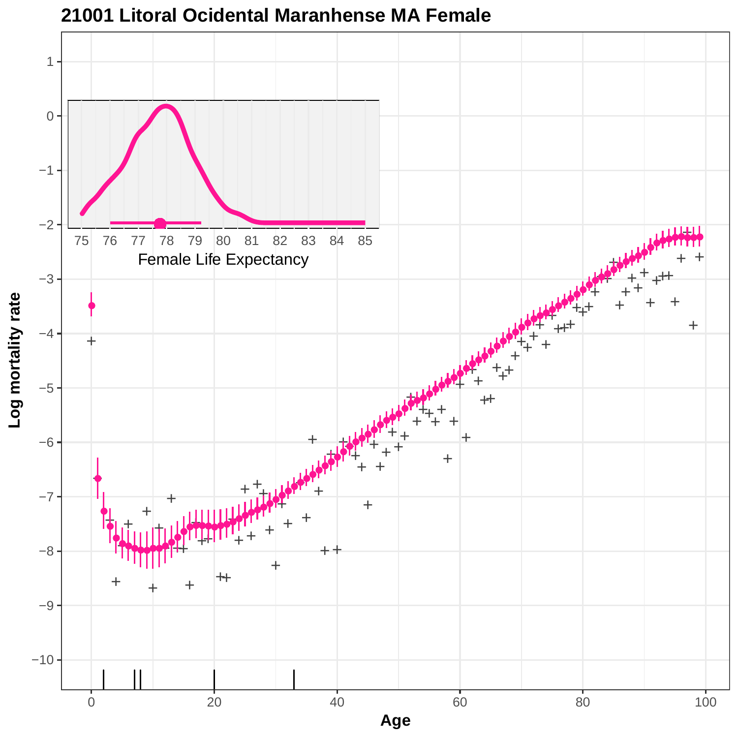

#### **21001 Litoral Ocidental Maranhense MA Female**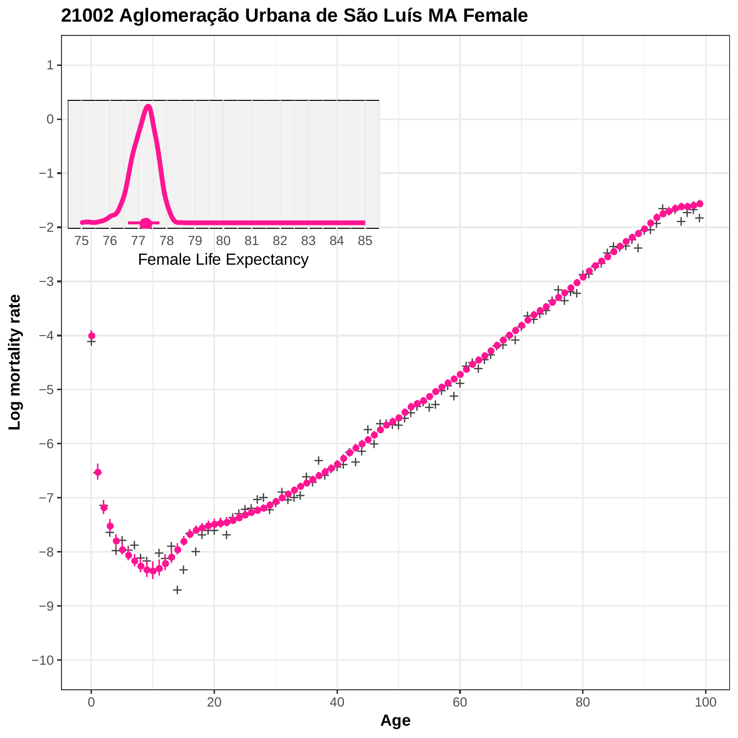

**21002 Aglomeração Urbana de São Luís MA Female**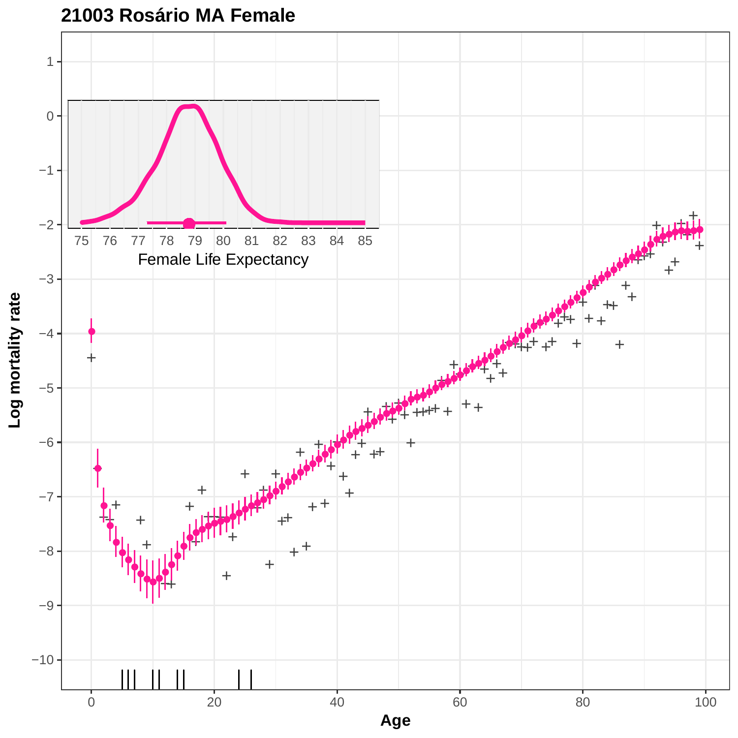

# **21003 Rosário MA Female**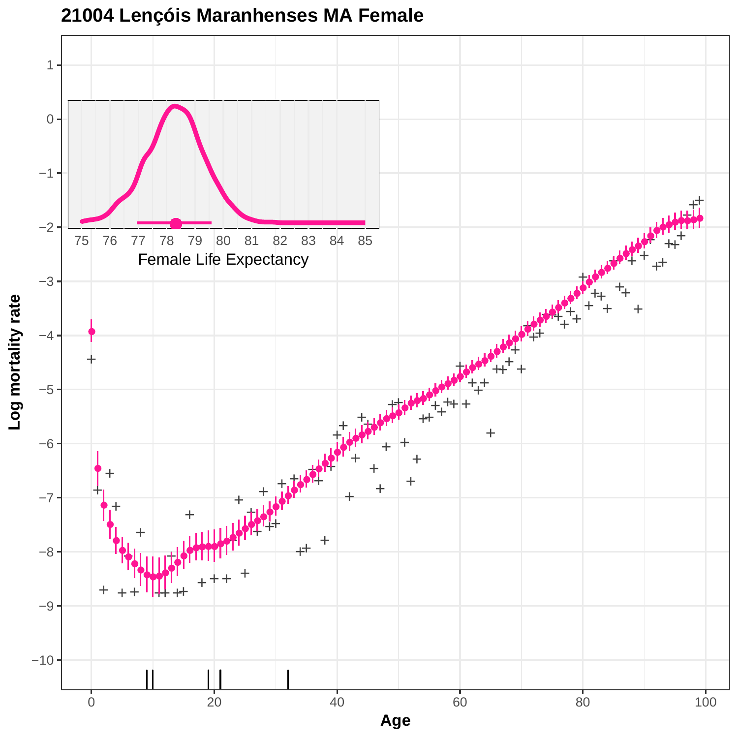

# **21004 Lençóis Maranhenses MA Female**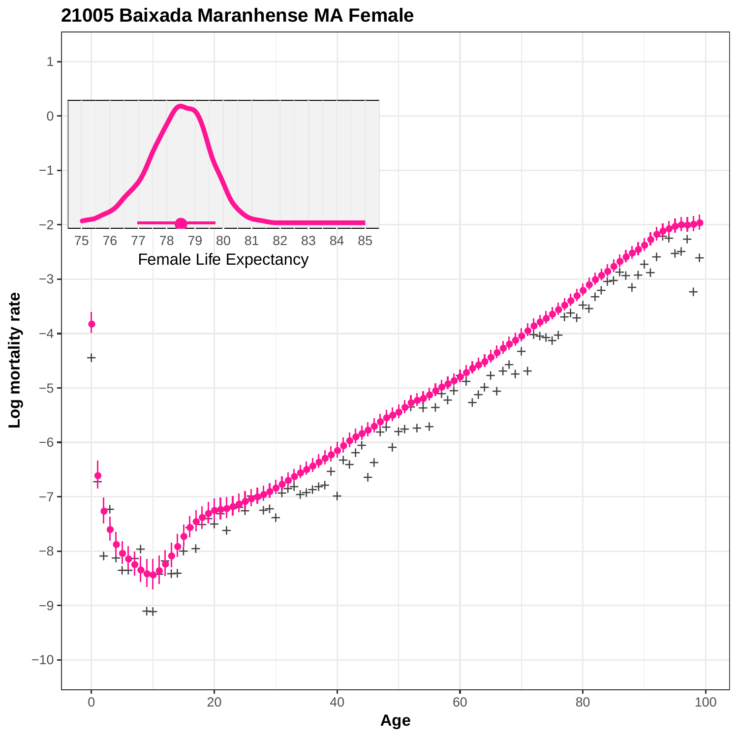

**<sup>21005</sup> Baixada Maranhense MA Female**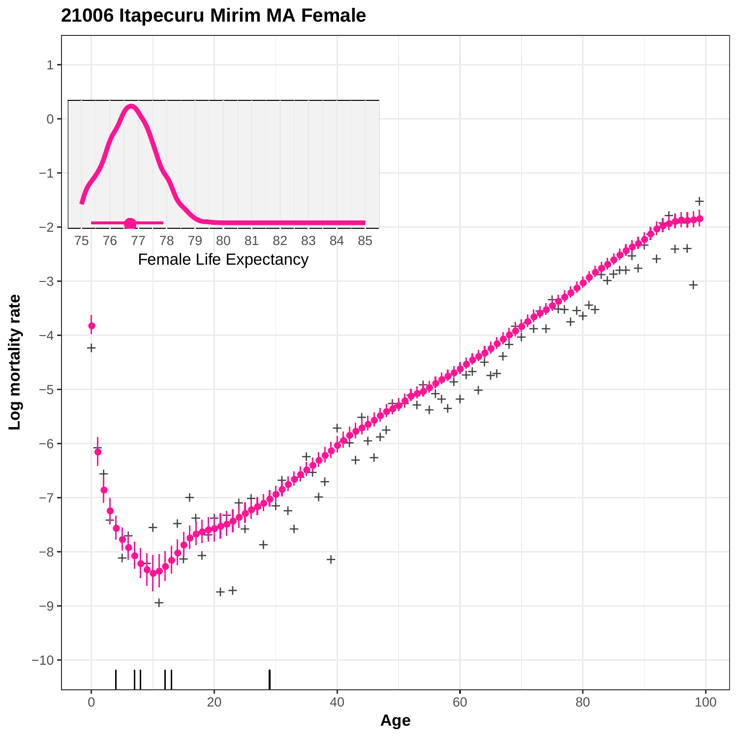

### **21006 Itapecuru Mirim MA Female**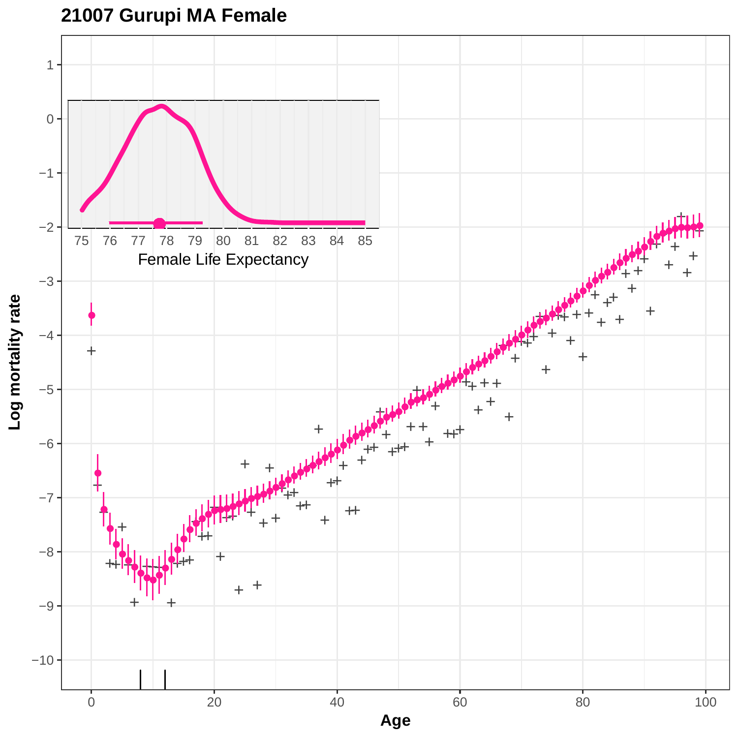# **21007 Gurupi MA Female**

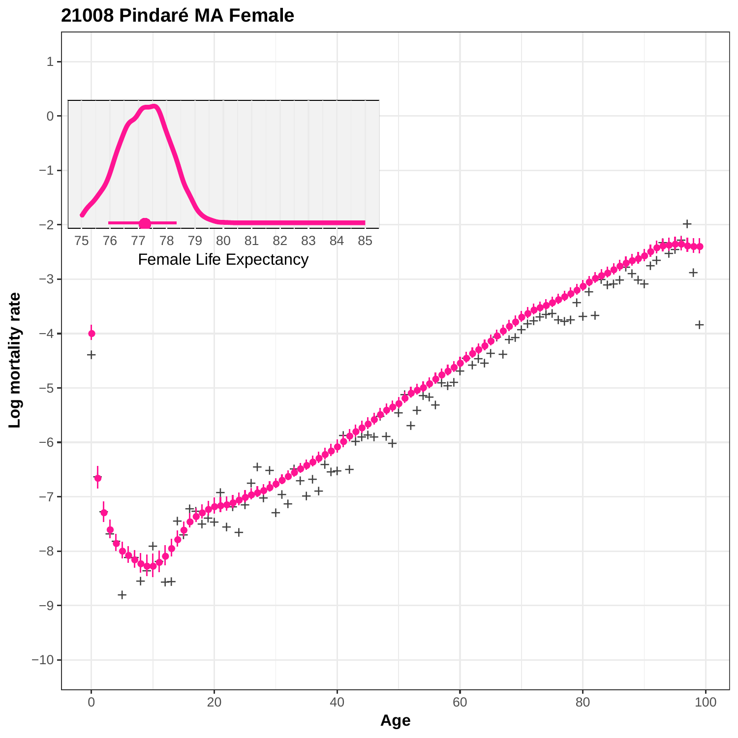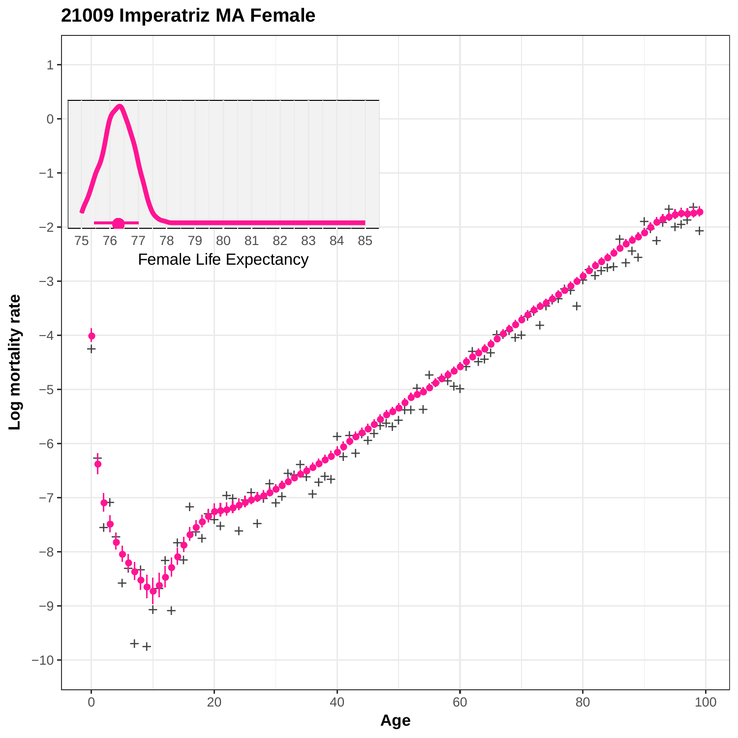



Log mortality rate **Log mortality rate**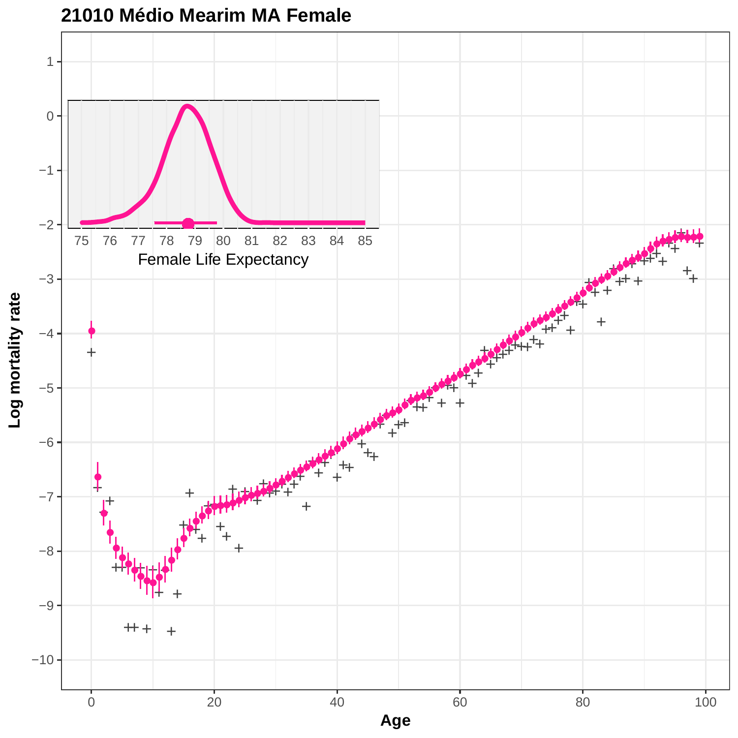

### **21010 Médio Mearim MA Female**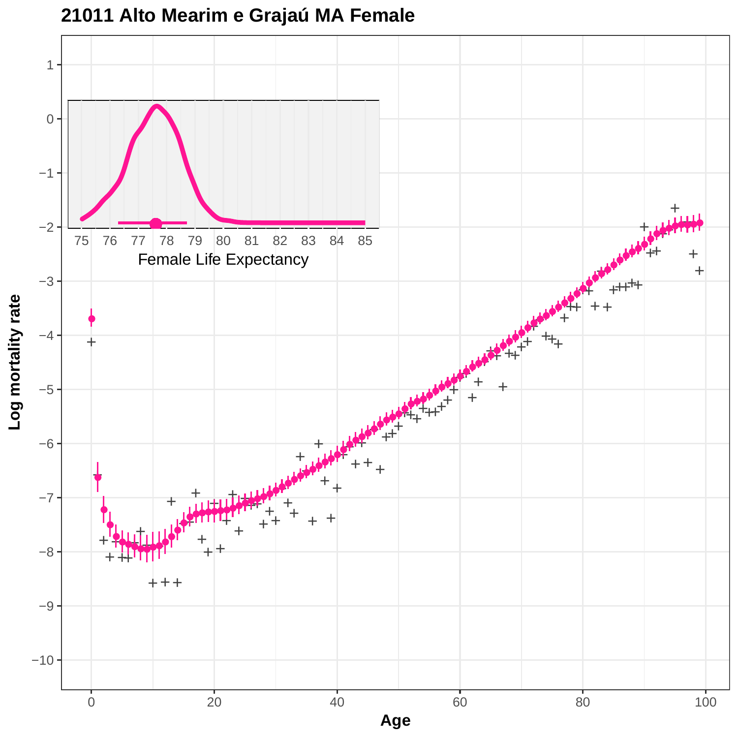

# **21011 Alto Mearim e Grajaú MA Female**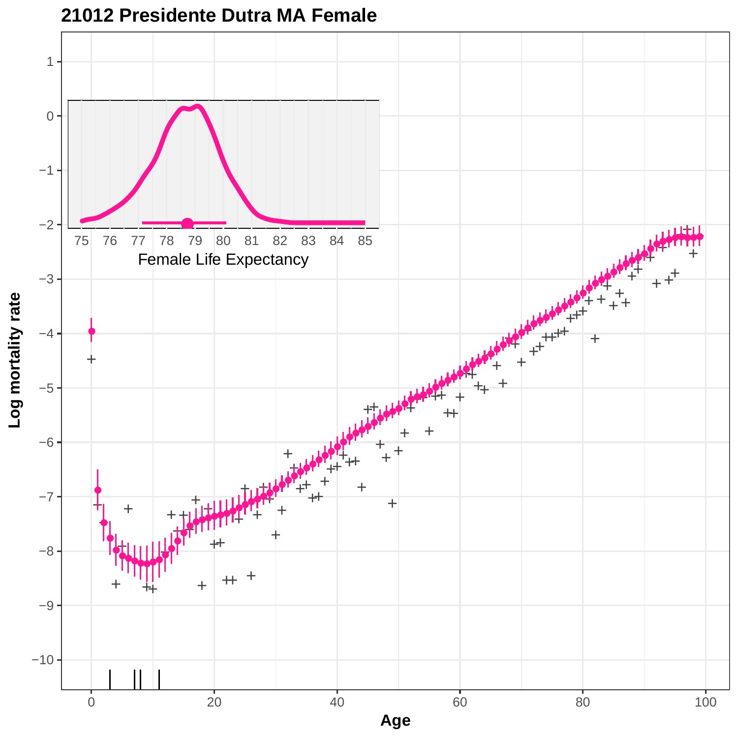

# **21012 Presidente Dutra MA Female**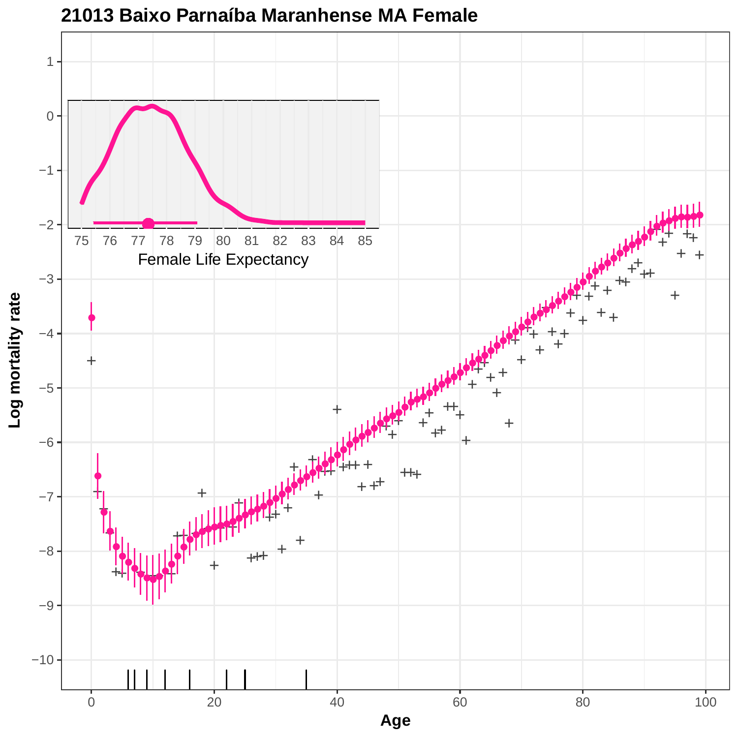

#### **21013 Baixo Parnaíba Maranhense MA Female**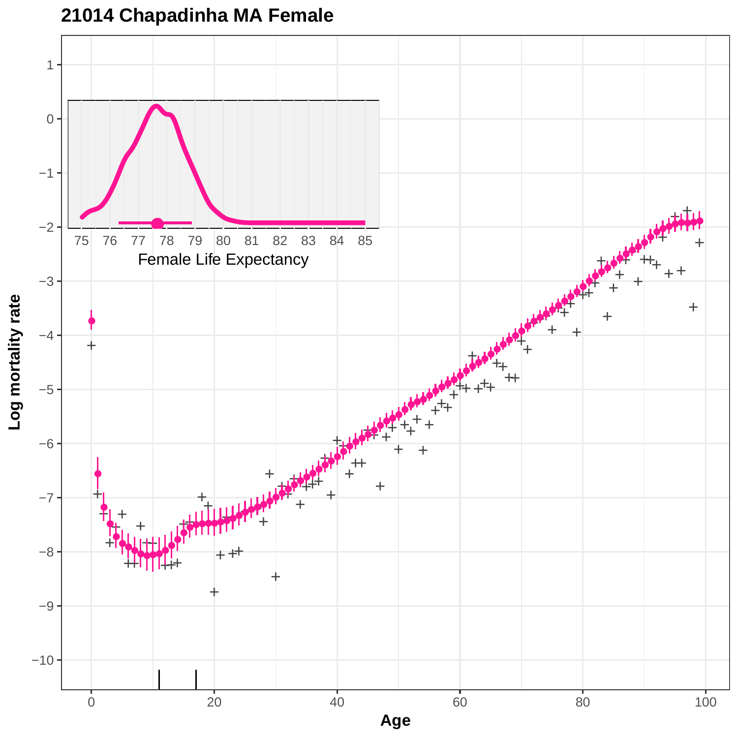

# **21014 Chapadinha MA Female**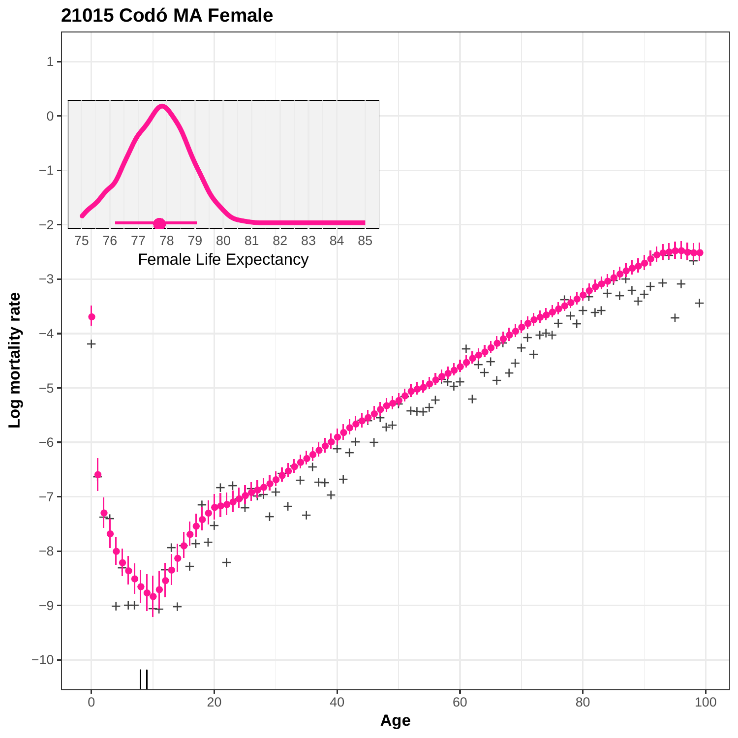

# **21015 Codó MA Female**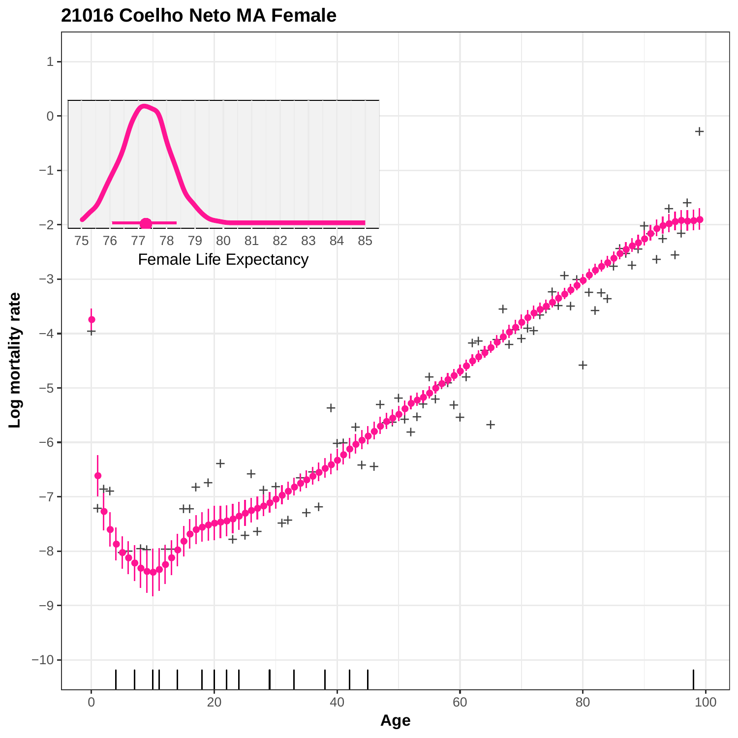

### **21016 Coelho Neto MA Female**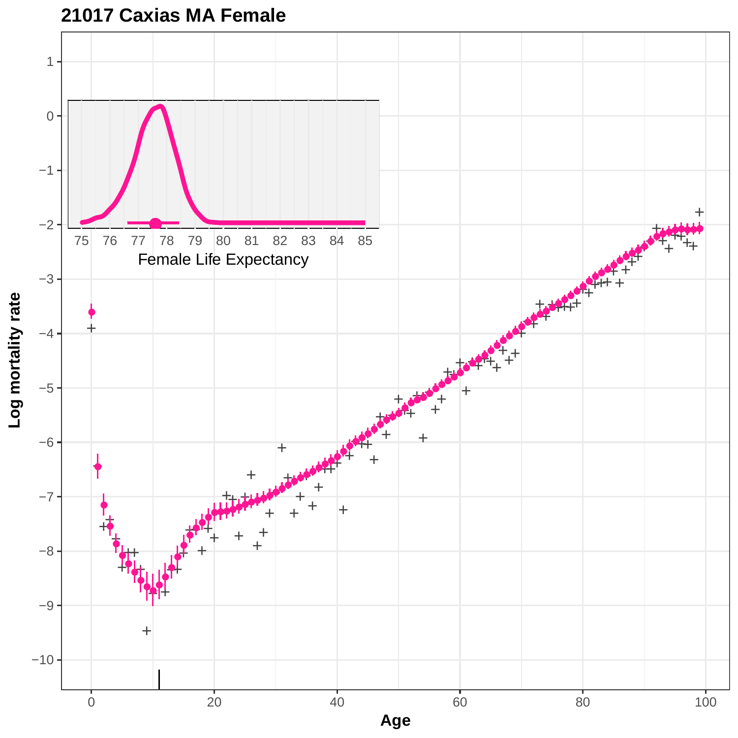

**<sup>21017</sup> Caxias MA Female**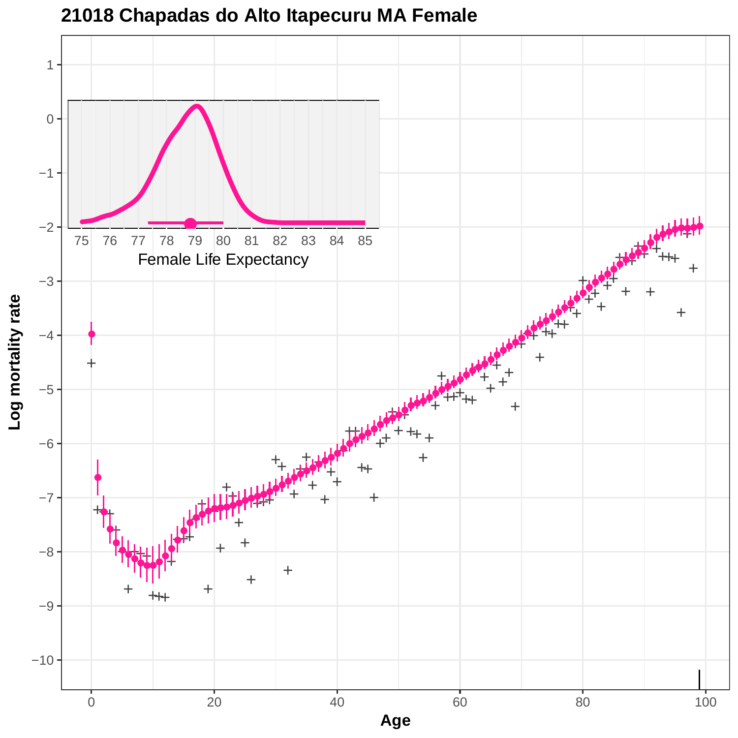

**21018 Chapadas do Alto Itapecuru MA Female**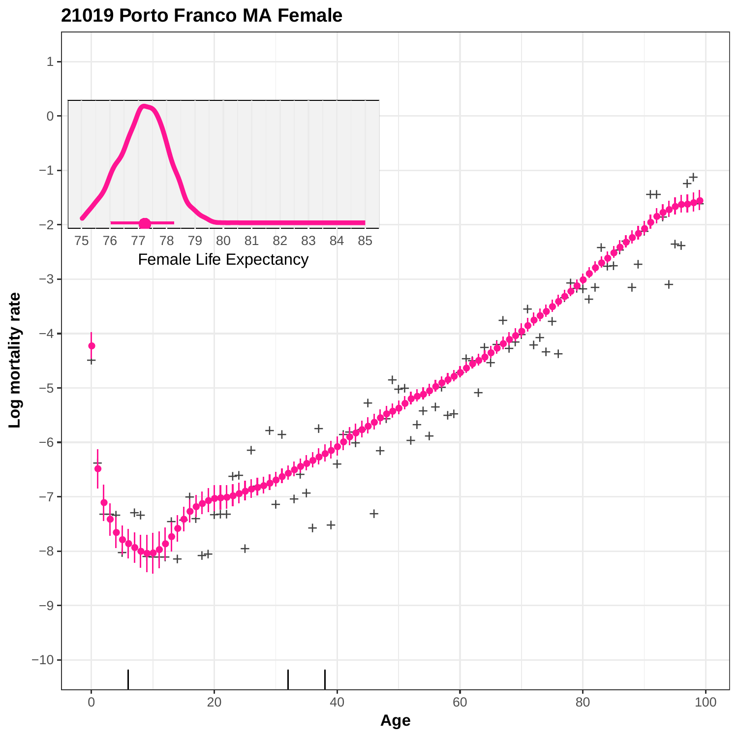

**21019 Porto Franco MA Female**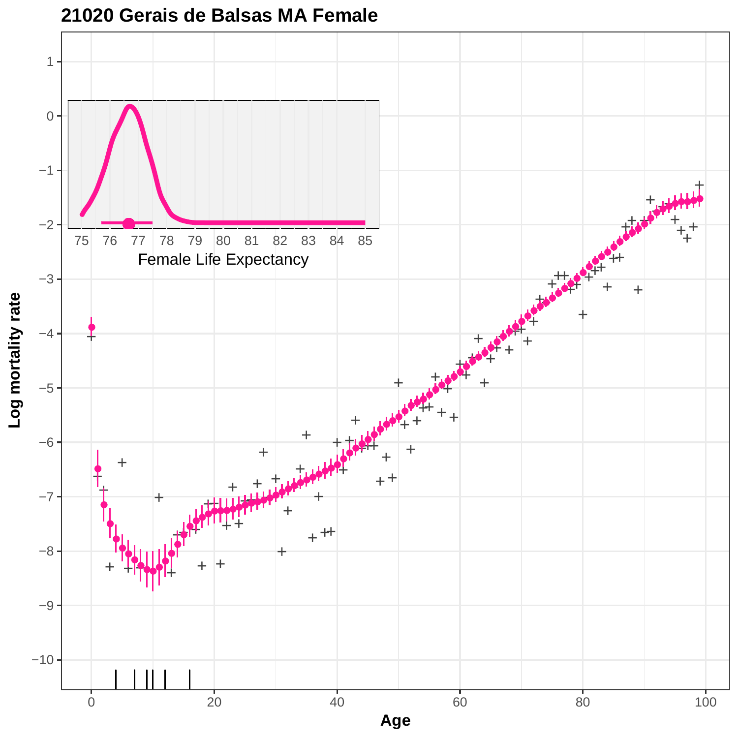

#### **21020 Gerais de Balsas MA Female**